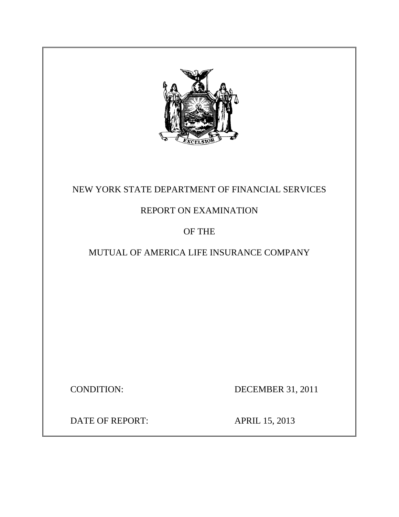

## NEW YORK STATE DEPARTMENT OF FINANCIAL SERVICES

## REPORT ON EXAMINATION

## OF THE

## MUTUAL OF AMERICA LIFE INSURANCE COMPANY

CONDITION: DECEMBER 31, 2011

DATE OF REPORT: APRIL 15, 2013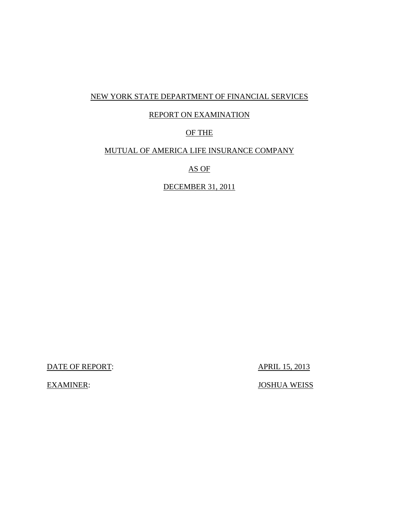### NEW YORK STATE DEPARTMENT OF FINANCIAL SERVICES

### REPORT ON EXAMINATION

### OF THE

### MUTUAL OF AMERICA LIFE INSURANCE COMPANY

AS OF

DECEMBER 31, 2011

DATE OF REPORT: APRIL 15, 2013

EXAMINER: JOSHUA WEISS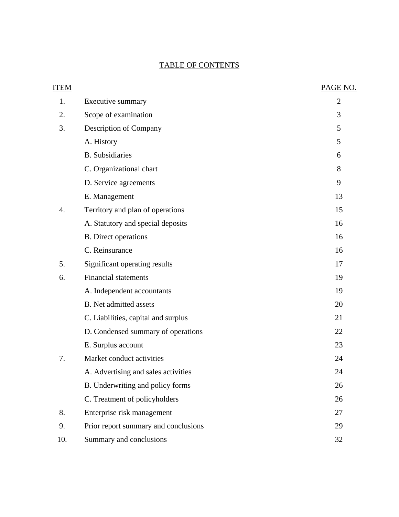### TABLE OF CONTENTS

| <b>ITEM</b> |                                      | PAGE NO.       |
|-------------|--------------------------------------|----------------|
| 1.          | Executive summary                    | $\overline{2}$ |
| 2.          | Scope of examination                 | 3              |
| 3.          | Description of Company               | 5              |
|             | A. History                           | 5              |
|             | <b>B.</b> Subsidiaries               | 6              |
|             | C. Organizational chart              | 8              |
|             | D. Service agreements                | 9              |
|             | E. Management                        | 13             |
| 4.          | Territory and plan of operations     | 15             |
|             | A. Statutory and special deposits    | 16             |
|             | <b>B.</b> Direct operations          | 16             |
|             | C. Reinsurance                       | 16             |
| 5.          | Significant operating results        | 17             |
| 6.          | <b>Financial statements</b>          | 19             |
|             | A. Independent accountants           | 19             |
|             | <b>B.</b> Net admitted assets        | 20             |
|             | C. Liabilities, capital and surplus  | 21             |
|             | D. Condensed summary of operations   | 22             |
|             | E. Surplus account                   | 23             |
| 7.          | Market conduct activities            | 24             |
|             | A. Advertising and sales activities  | 24             |
|             | B. Underwriting and policy forms     | 26             |
|             | C. Treatment of policyholders        | 26             |
| 8.          | Enterprise risk management           | 27             |
| 9.          | Prior report summary and conclusions | 29             |
| 10.         | Summary and conclusions              | 32             |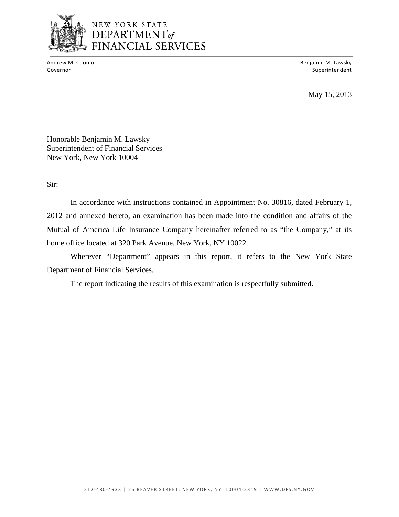

# NEW YORK STATE DEPARTMENT<sub>of</sub><br>FINANCIAL SERVICES

 Andrew M. Cuomo Benjamin M. Lawsky Governor **Superintendent** Superintendent Superintendent Superintendent Superintendent Superintendent Superintendent

May 15, 2013

Honorable Benjamin M. Lawsky Superintendent of Financial Services New York, New York 10004

Sir:

In accordance with instructions contained in Appointment No. 30816, dated February 1, 2012 and annexed hereto, an examination has been made into the condition and affairs of the Mutual of America Life Insurance Company hereinafter referred to as "the Company," at its home office located at 320 Park Avenue, New York, NY 10022

Wherever "Department" appears in this report, it refers to the New York State Department of Financial Services.

The report indicating the results of this examination is respectfully submitted.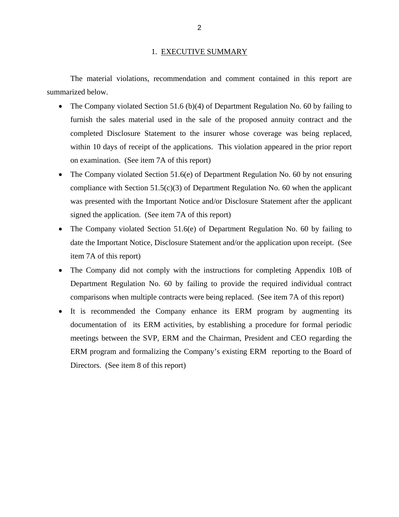#### 1. EXECUTIVE SUMMARY

<span id="page-4-0"></span>The material violations, recommendation and comment contained in this report are summarized below.

- The Company violated Section 51.6 (b)(4) of Department Regulation No. 60 by failing to furnish the sales material used in the sale of the proposed annuity contract and the completed Disclosure Statement to the insurer whose coverage was being replaced, within 10 days of receipt of the applications. This violation appeared in the prior report on examination. (See item 7A of this report)
- The Company violated Section 51.6(e) of Department Regulation No. 60 by not ensuring compliance with Section  $51.5(c)(3)$  of Department Regulation No. 60 when the applicant was presented with the Important Notice and/or Disclosure Statement after the applicant signed the application. (See item 7A of this report)
- The Company violated Section 51.6(e) of Department Regulation No. 60 by failing to date the Important Notice, Disclosure Statement and/or the application upon receipt. (See item 7A of this report)
- The Company did not comply with the instructions for completing Appendix 10B of Department Regulation No. 60 by failing to provide the required individual contract comparisons when multiple contracts were being replaced. (See item 7A of this report)
- It is recommended the Company enhance its ERM program by augmenting its documentation of its ERM activities, by establishing a procedure for formal periodic meetings between the SVP, ERM and the Chairman, President and CEO regarding the ERM program and formalizing the Company's existing ERM reporting to the Board of Directors. (See item 8 of this report)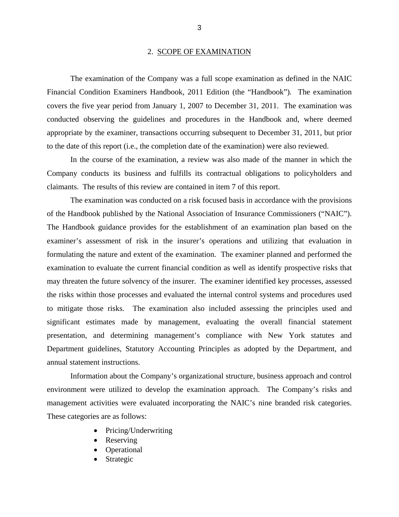#### 2. SCOPE OF EXAMINATION

<span id="page-5-0"></span>The examination of the Company was a full scope examination as defined in the NAIC Financial Condition Examiners Handbook, 2011 Edition (the "Handbook")*.* The examination covers the five year period from January 1, 2007 to December 31, 2011. The examination was conducted observing the guidelines and procedures in the Handbook and, where deemed appropriate by the examiner, transactions occurring subsequent to December 31, 2011, but prior to the date of this report (i.e., the completion date of the examination) were also reviewed.

In the course of the examination, a review was also made of the manner in which the Company conducts its business and fulfills its contractual obligations to policyholders and claimants. The results of this review are contained in item 7 of this report.

The examination was conducted on a risk focused basis in accordance with the provisions of the Handbook published by the National Association of Insurance Commissioners ("NAIC"). The Handbook guidance provides for the establishment of an examination plan based on the examiner's assessment of risk in the insurer's operations and utilizing that evaluation in formulating the nature and extent of the examination. The examiner planned and performed the examination to evaluate the current financial condition as well as identify prospective risks that may threaten the future solvency of the insurer. The examiner identified key processes, assessed the risks within those processes and evaluated the internal control systems and procedures used to mitigate those risks. The examination also included assessing the principles used and significant estimates made by management, evaluating the overall financial statement presentation, and determining management's compliance with New York statutes and Department guidelines, Statutory Accounting Principles as adopted by the Department, and annual statement instructions.

Information about the Company's organizational structure, business approach and control environment were utilized to develop the examination approach. The Company's risks and management activities were evaluated incorporating the NAIC's nine branded risk categories. These categories are as follows:

- Pricing/Underwriting
- Reserving
- Operational
- Strategic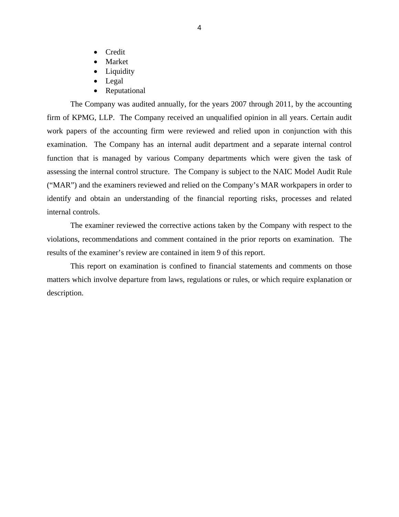- Credit
- Market
- Liquidity
- Legal
- Reputational

The Company was audited annually, for the years 2007 through 2011, by the accounting firm of KPMG, LLP. The Company received an unqualified opinion in all years. Certain audit work papers of the accounting firm were reviewed and relied upon in conjunction with this examination. The Company has an internal audit department and a separate internal control function that is managed by various Company departments which were given the task of assessing the internal control structure. The Company is subject to the NAIC Model Audit Rule ("MAR") and the examiners reviewed and relied on the Company's MAR workpapers in order to identify and obtain an understanding of the financial reporting risks, processes and related internal controls.

The examiner reviewed the corrective actions taken by the Company with respect to the violations, recommendations and comment contained in the prior reports on examination. The results of the examiner's review are contained in item 9 of this report.

This report on examination is confined to financial statements and comments on those matters which involve departure from laws, regulations or rules, or which require explanation or description.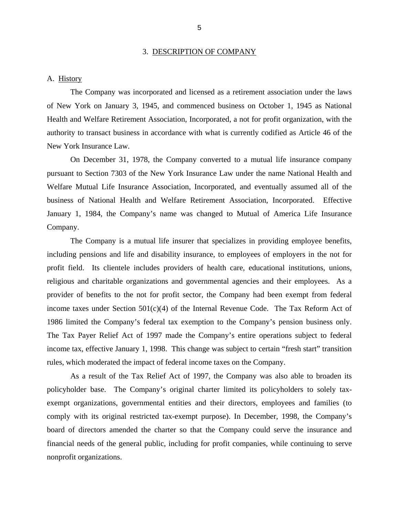#### 3. DESCRIPTION OF COMPANY

#### <span id="page-7-0"></span>A. History

The Company was incorporated and licensed as a retirement association under the laws of New York on January 3, 1945, and commenced business on October 1, 1945 as National Health and Welfare Retirement Association, Incorporated, a not for profit organization, with the authority to transact business in accordance with what is currently codified as Article 46 of the New York Insurance Law.

On December 31, 1978, the Company converted to a mutual life insurance company pursuant to Section 7303 of the New York Insurance Law under the name National Health and Welfare Mutual Life Insurance Association, Incorporated, and eventually assumed all of the business of National Health and Welfare Retirement Association, Incorporated. Effective January 1, 1984, the Company's name was changed to Mutual of America Life Insurance Company.

The Company is a mutual life insurer that specializes in providing employee benefits, including pensions and life and disability insurance, to employees of employers in the not for profit field. Its clientele includes providers of health care, educational institutions, unions, religious and charitable organizations and governmental agencies and their employees. As a provider of benefits to the not for profit sector, the Company had been exempt from federal income taxes under Section  $501(c)(4)$  of the Internal Revenue Code. The Tax Reform Act of 1986 limited the Company's federal tax exemption to the Company's pension business only. The Tax Payer Relief Act of 1997 made the Company's entire operations subject to federal income tax, effective January 1, 1998. This change was subject to certain "fresh start" transition rules, which moderated the impact of federal income taxes on the Company.

As a result of the Tax Relief Act of 1997, the Company was also able to broaden its policyholder base. The Company's original charter limited its policyholders to solely taxexempt organizations, governmental entities and their directors, employees and families (to comply with its original restricted tax-exempt purpose). In December, 1998, the Company's board of directors amended the charter so that the Company could serve the insurance and financial needs of the general public, including for profit companies, while continuing to serve nonprofit organizations.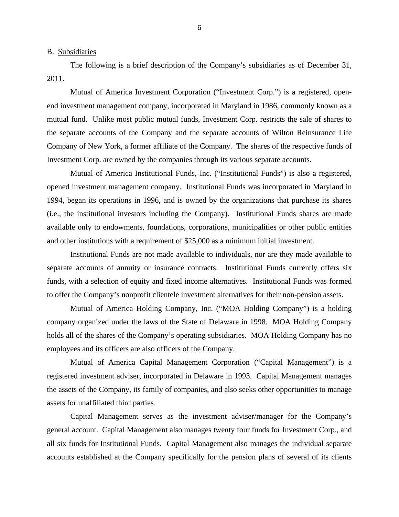<span id="page-8-0"></span>B. Subsidiaries

The following is a brief description of the Company's subsidiaries as of December 31, 2011.

Mutual of America Investment Corporation ("Investment Corp.") is a registered, openend investment management company, incorporated in Maryland in 1986, commonly known as a mutual fund. Unlike most public mutual funds, Investment Corp. restricts the sale of shares to the separate accounts of the Company and the separate accounts of Wilton Reinsurance Life Company of New York, a former affiliate of the Company. The shares of the respective funds of Investment Corp. are owned by the companies through its various separate accounts.

Mutual of America Institutional Funds, Inc. ("Institutional Funds") is also a registered, opened investment management company. Institutional Funds was incorporated in Maryland in 1994, began its operations in 1996, and is owned by the organizations that purchase its shares (i.e., the institutional investors including the Company). Institutional Funds shares are made available only to endowments, foundations, corporations, municipalities or other public entities and other institutions with a requirement of \$25,000 as a minimum initial investment.

Institutional Funds are not made available to individuals, nor are they made available to separate accounts of annuity or insurance contracts. Institutional Funds currently offers six funds, with a selection of equity and fixed income alternatives. Institutional Funds was formed to offer the Company's nonprofit clientele investment alternatives for their non-pension assets.

Mutual of America Holding Company, Inc. ("MOA Holding Company") is a holding company organized under the laws of the State of Delaware in 1998. MOA Holding Company holds all of the shares of the Company's operating subsidiaries. MOA Holding Company has no employees and its officers are also officers of the Company.

Mutual of America Capital Management Corporation ("Capital Management") is a registered investment adviser, incorporated in Delaware in 1993. Capital Management manages the assets of the Company, its family of companies, and also seeks other opportunities to manage assets for unaffiliated third parties.

Capital Management serves as the investment adviser/manager for the Company's general account. Capital Management also manages twenty four funds for Investment Corp., and all six funds for Institutional Funds. Capital Management also manages the individual separate accounts established at the Company specifically for the pension plans of several of its clients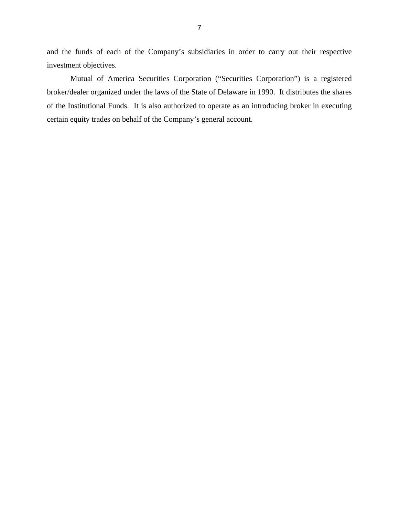and the funds of each of the Company's subsidiaries in order to carry out their respective investment objectives.

Mutual of America Securities Corporation ("Securities Corporation") is a registered broker/dealer organized under the laws of the State of Delaware in 1990. It distributes the shares of the Institutional Funds. It is also authorized to operate as an introducing broker in executing certain equity trades on behalf of the Company's general account.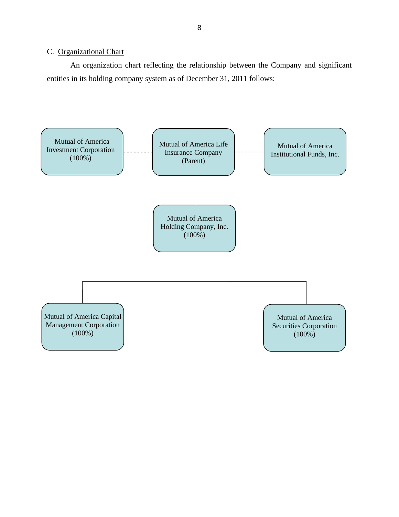### <span id="page-10-0"></span>C. Organizational Chart

An organization chart reflecting the relationship between the Company and significant entities in its holding company system as of December 31, 2011 follows:

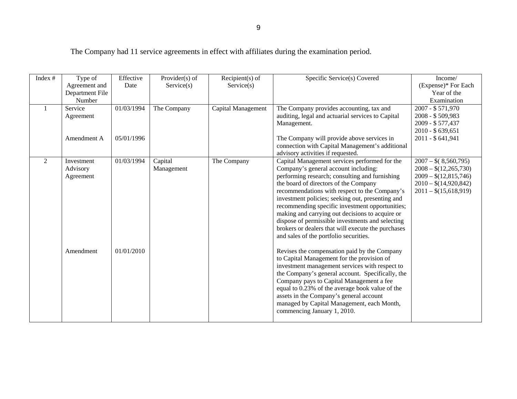The Company had 11 service agreements in effect with affiliates during the examination period.

| Index #      | Type of         | Effective  | Provider $(s)$ of | Recipient $(s)$ of | Specific Service(s) Covered                        | Income/                |
|--------------|-----------------|------------|-------------------|--------------------|----------------------------------------------------|------------------------|
|              | Agreement and   | Date       | Service(s)        | Service(s)         |                                                    | (Expense)* For Each    |
|              | Department File |            |                   |                    |                                                    | Year of the            |
|              | Number          |            |                   |                    |                                                    | Examination            |
| $\mathbf{1}$ | Service         | 01/03/1994 | The Company       | Capital Management | The Company provides accounting, tax and           | 2007 - \$571,970       |
|              | Agreement       |            |                   |                    | auditing, legal and actuarial services to Capital  | 2008 - \$509,983       |
|              |                 |            |                   |                    | Management.                                        | 2009 - \$577,437       |
|              |                 |            |                   |                    |                                                    | 2010 - \$639,651       |
|              | Amendment A     | 05/01/1996 |                   |                    | The Company will provide above services in         | 2011 - \$641,941       |
|              |                 |            |                   |                    | connection with Capital Management's additional    |                        |
|              |                 |            |                   |                    | advisory activities if requested.                  |                        |
| 2            | Investment      | 01/03/1994 | Capital           | The Company        | Capital Management services performed for the      | $2007 - $(8,560,795)$  |
|              | Advisory        |            | Management        |                    | Company's general account including:               | $2008 - $(12,265,730)$ |
|              | Agreement       |            |                   |                    | performing research; consulting and furnishing     | $2009 - $(12,815,746)$ |
|              |                 |            |                   |                    | the board of directors of the Company              | $2010 - $(14,920,842)$ |
|              |                 |            |                   |                    | recommendations with respect to the Company's      | $2011 - $(15,618,919)$ |
|              |                 |            |                   |                    | investment policies; seeking out, presenting and   |                        |
|              |                 |            |                   |                    | recommending specific investment opportunities;    |                        |
|              |                 |            |                   |                    | making and carrying out decisions to acquire or    |                        |
|              |                 |            |                   |                    | dispose of permissible investments and selecting   |                        |
|              |                 |            |                   |                    | brokers or dealers that will execute the purchases |                        |
|              |                 |            |                   |                    | and sales of the portfolio securities.             |                        |
|              | Amendment       | 01/01/2010 |                   |                    | Revises the compensation paid by the Company       |                        |
|              |                 |            |                   |                    | to Capital Management for the provision of         |                        |
|              |                 |            |                   |                    | investment management services with respect to     |                        |
|              |                 |            |                   |                    | the Company's general account. Specifically, the   |                        |
|              |                 |            |                   |                    | Company pays to Capital Management a fee           |                        |
|              |                 |            |                   |                    | equal to 0.23% of the average book value of the    |                        |
|              |                 |            |                   |                    | assets in the Company's general account            |                        |
|              |                 |            |                   |                    | managed by Capital Management, each Month,         |                        |
|              |                 |            |                   |                    | commencing January 1, 2010.                        |                        |
|              |                 |            |                   |                    |                                                    |                        |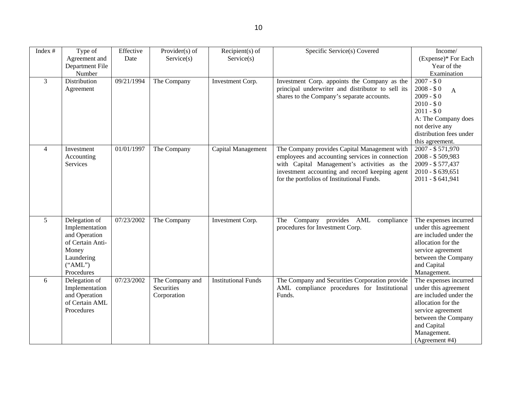| Index #        | Type of          | Effective  | Provider $(s)$ of | Recipient $(s)$ of         | Specific Service(s) Covered                       | Income/                     |
|----------------|------------------|------------|-------------------|----------------------------|---------------------------------------------------|-----------------------------|
|                | Agreement and    | Date       | Service(s)        | Service(s)                 |                                                   | (Expense)* For Each         |
|                | Department File  |            |                   |                            |                                                   | Year of the                 |
|                | Number           |            |                   |                            |                                                   | Examination                 |
| $\overline{3}$ | Distribution     | 09/21/1994 | The Company       | Investment Corp.           | Investment Corp. appoints the Company as the      | $2007 - $0$                 |
|                | Agreement        |            |                   |                            | principal underwriter and distributor to sell its | $2008 - $0$<br>$\mathbf{A}$ |
|                |                  |            |                   |                            | shares to the Company's separate accounts.        | $2009 - $0$                 |
|                |                  |            |                   |                            |                                                   | $2010 - $0$                 |
|                |                  |            |                   |                            |                                                   | $2011 - $0$                 |
|                |                  |            |                   |                            |                                                   | A: The Company does         |
|                |                  |            |                   |                            |                                                   | not derive any              |
|                |                  |            |                   |                            |                                                   | distribution fees under     |
|                |                  |            |                   |                            |                                                   | this agreement.             |
| $\overline{4}$ | Investment       | 01/01/1997 | The Company       | Capital Management         | The Company provides Capital Management with      | $2007 - $571,970$           |
|                | Accounting       |            |                   |                            | employees and accounting services in connection   | 2008 - \$509,983            |
|                | Services         |            |                   |                            | with Capital Management's activities as the       | 2009 - \$577,437            |
|                |                  |            |                   |                            | investment accounting and record keeping agent    | 2010 - \$639,651            |
|                |                  |            |                   |                            | for the portfolios of Institutional Funds.        | 2011 - \$641,941            |
|                |                  |            |                   |                            |                                                   |                             |
|                |                  |            |                   |                            |                                                   |                             |
|                |                  |            |                   |                            |                                                   |                             |
|                |                  |            |                   |                            |                                                   |                             |
| 5              | Delegation of    | 07/23/2002 | The Company       | Investment Corp.           | Company provides AML<br>The<br>compliance         | The expenses incurred       |
|                | Implementation   |            |                   |                            | procedures for Investment Corp.                   | under this agreement        |
|                | and Operation    |            |                   |                            |                                                   | are included under the      |
|                | of Certain Anti- |            |                   |                            |                                                   | allocation for the          |
|                | Money            |            |                   |                            |                                                   | service agreement           |
|                | Laundering       |            |                   |                            |                                                   | between the Company         |
|                | ("AML")          |            |                   |                            |                                                   | and Capital                 |
|                | Procedures       |            |                   |                            |                                                   | Management.                 |
| 6              | Delegation of    | 07/23/2002 | The Company and   | <b>Institutional Funds</b> | The Company and Securities Corporation provide    | The expenses incurred       |
|                | Implementation   |            | <b>Securities</b> |                            | AML compliance procedures for Institutional       | under this agreement        |
|                | and Operation    |            | Corporation       |                            | Funds.                                            | are included under the      |
|                | of Certain AML   |            |                   |                            |                                                   | allocation for the          |
|                | Procedures       |            |                   |                            |                                                   | service agreement           |
|                |                  |            |                   |                            |                                                   | between the Company         |
|                |                  |            |                   |                            |                                                   | and Capital                 |
|                |                  |            |                   |                            |                                                   | Management.                 |
|                |                  |            |                   |                            |                                                   | (Agreement #4)              |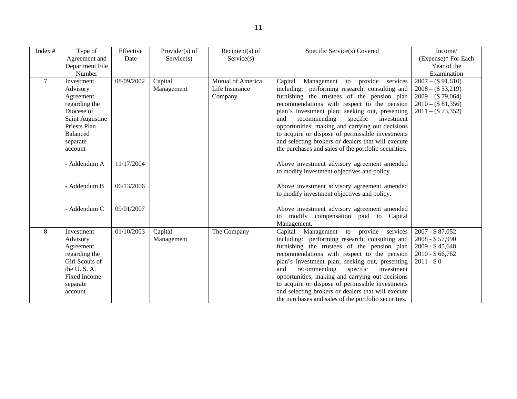| Index #        | Type of             | Effective  | Provider(s) of | $Recipient(s)$ of | Specific Service(s) Covered                          | Income/              |
|----------------|---------------------|------------|----------------|-------------------|------------------------------------------------------|----------------------|
|                | Agreement and       | Date       | Service(s)     | Service(s)        |                                                      | (Expense)* For Each  |
|                | Department File     |            |                |                   |                                                      | Year of the          |
|                | Number              |            |                |                   |                                                      | Examination          |
| $\overline{7}$ | Investment          | 08/09/2002 | Capital        | Mutual of America | to provide services<br>Capital<br>Management         | $2007 - ( $ 91,610)$ |
|                | Advisory            |            | Management     | Life Insurance    | including: performing research; consulting and       | $2008 - (\$ 53,219)$ |
|                | Agreement           |            |                | Company           | furnishing the trustees of the pension plan          | $2009 - ( $ 79,064)$ |
|                | regarding the       |            |                |                   | recommendations with respect to the pension          | $2010 - ( $ 81,356)$ |
|                | Diocese of          |            |                |                   | plan's investment plan; seeking out, presenting      | $2011 - ($73,352)$   |
|                | Saint Augustine     |            |                |                   | and<br>recommending<br>specific<br>investment        |                      |
|                | Priests Plan        |            |                |                   | opportunities; making and carrying out decisions     |                      |
|                | <b>Balanced</b>     |            |                |                   | to acquire or dispose of permissible investments     |                      |
|                | separate            |            |                |                   | and selecting brokers or dealers that will execute   |                      |
|                | account             |            |                |                   | the purchases and sales of the portfolio securities. |                      |
|                |                     |            |                |                   |                                                      |                      |
|                | - Addendum A        | 11/17/2004 |                |                   | Above investment advisory agreement amended          |                      |
|                |                     |            |                |                   | to modify investment objectives and policy.          |                      |
|                |                     |            |                |                   |                                                      |                      |
|                | - Addendum B        | 06/13/2006 |                |                   | Above investment advisory agreement amended          |                      |
|                |                     |            |                |                   | to modify investment objectives and policy.          |                      |
|                |                     |            |                |                   |                                                      |                      |
|                | - Addendum C        | 09/01/2007 |                |                   | Above investment advisory agreement amended          |                      |
|                |                     |            |                |                   | to modify compensation paid to Capital               |                      |
|                |                     |            |                |                   | Management.                                          |                      |
| 8              | Investment          | 01/10/2003 | Capital        | The Company       | Capital Management to provide services               | 2007 - \$87,052      |
|                | Advisory            |            | Management     |                   | including: performing research; consulting and       | 2008 - \$57,990      |
|                | Agreement           |            |                |                   | furnishing the trustees of the pension plan          | 2009 - \$45,648      |
|                | regarding the       |            |                |                   | recommendations with respect to the pension          | $2010 - $66,762$     |
|                | Girl Scouts of      |            |                |                   | plan's investment plan; seeking out, presenting      | $2011 - $0$          |
|                | the U.S.A.          |            |                |                   | recommending<br>and<br>specific<br>investment        |                      |
|                | <b>Fixed Income</b> |            |                |                   | opportunities; making and carrying out decisions     |                      |
|                | separate            |            |                |                   | to acquire or dispose of permissible investments     |                      |
|                | account             |            |                |                   | and selecting brokers or dealers that will execute   |                      |
|                |                     |            |                |                   | the purchases and sales of the portfolio securities. |                      |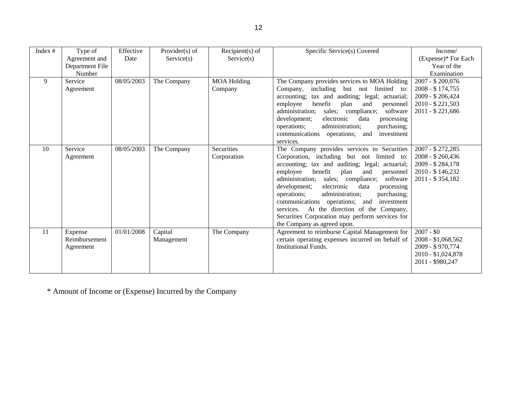| Index $#$ | Type of<br>Agreement and | Effective<br>Date | Provider $(s)$ of<br>Service(s) | $Recipient(s)$ of<br>Service(s) | Specific Service(s) Covered                               | Income/<br>(Expense)* For Each |
|-----------|--------------------------|-------------------|---------------------------------|---------------------------------|-----------------------------------------------------------|--------------------------------|
|           | Department File          |                   |                                 |                                 |                                                           | Year of the                    |
|           | Number                   |                   |                                 |                                 |                                                           | Examination                    |
| 9         | Service                  | 08/05/2003        | The Company                     | <b>MOA Holding</b>              | The Company provides services to MOA Holding              | 2007 - \$200,076               |
|           | Agreement                |                   |                                 | Company                         | including but not limited to:<br>Company,                 | 2008 - \$174,755               |
|           |                          |                   |                                 |                                 | tax and auditing; legal; actuarial;<br>accounting;        | 2009 - \$206,424               |
|           |                          |                   |                                 |                                 | benefit<br>employee<br>plan<br>and<br>personnel           | 2010 - \$221,503               |
|           |                          |                   |                                 |                                 | administration;<br>sales; compliance;<br>software         | 2011 - \$221,686               |
|           |                          |                   |                                 |                                 | electronic<br>data<br>development;<br>processing          |                                |
|           |                          |                   |                                 |                                 | operations;<br>purchasing;<br>administration;             |                                |
|           |                          |                   |                                 |                                 | communications operations; and<br>investment<br>services. |                                |
| 10        | Service                  | 08/05/2003        | The Company                     | Securities                      | The Company provides services to Securities               | 2007 - \$ 272,285              |
|           | Agreement                |                   |                                 | Corporation                     | Corporation, including but not limited to:                | 2008 - \$260,436               |
|           |                          |                   |                                 |                                 | accounting; tax and auditing; legal; actuarial;           | 2009 - \$284,178               |
|           |                          |                   |                                 |                                 | benefit<br>employee<br>plan<br>and<br>personnel           | 2010 - \$146,232               |
|           |                          |                   |                                 |                                 | sales; compliance;<br>administration:<br>software         | 2011 - \$354,182               |
|           |                          |                   |                                 |                                 | development;<br>electronic<br>data<br>processing          |                                |
|           |                          |                   |                                 |                                 | administration:<br>purchasing;<br>operations;             |                                |
|           |                          |                   |                                 |                                 | communications operations; and<br>investment              |                                |
|           |                          |                   |                                 |                                 | services. At the direction of the Company,                |                                |
|           |                          |                   |                                 |                                 | Securities Corporation may perform services for           |                                |
|           |                          |                   |                                 |                                 | the Company as agreed upon.                               |                                |
| -11       | Expense                  | 01/01/2008        | Capital                         | The Company                     | Agreement to reimburse Capital Management for             | $2007 - $0$                    |
|           | Reimbursement            |                   | Management                      |                                 | certain operating expenses incurred on behalf of          | 2008 - \$1,068,562             |
|           | Agreement                |                   |                                 |                                 | <b>Institutional Funds.</b>                               | 2009 - \$970,774               |
|           |                          |                   |                                 |                                 |                                                           | 2010 - \$1,024,878             |
|           |                          |                   |                                 |                                 |                                                           | 2011 - \$980,247               |
|           |                          |                   |                                 |                                 |                                                           |                                |

\* Amount of Income or (Expense) Incurred by the Company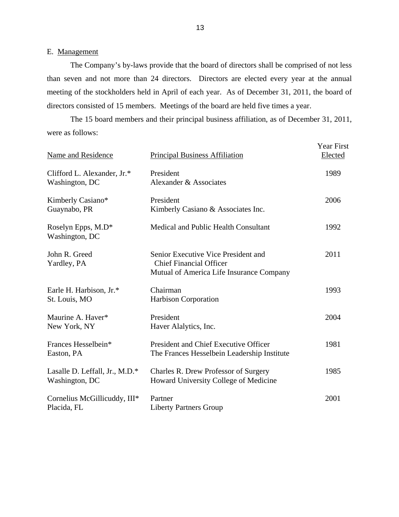### E. Management

The Company's by-laws provide that the board of directors shall be comprised of not less than seven and not more than 24 directors. Directors are elected every year at the annual meeting of the stockholders held in April of each year. As of December 31, 2011, the board of directors consisted of 15 members. Meetings of the board are held five times a year.

The 15 board members and their principal business affiliation, as of December 31, 2011, were as follows:

| Name and Residence                               | <b>Principal Business Affiliation</b>                                                                             | <b>Year First</b><br>Elected |
|--------------------------------------------------|-------------------------------------------------------------------------------------------------------------------|------------------------------|
| Clifford L. Alexander, Jr.*<br>Washington, DC    | President<br>Alexander & Associates                                                                               | 1989                         |
| Kimberly Casiano*<br>Guaynabo, PR                | President<br>Kimberly Casiano & Associates Inc.                                                                   | 2006                         |
| Roselyn Epps, M.D*<br>Washington, DC             | Medical and Public Health Consultant                                                                              | 1992                         |
| John R. Greed<br>Yardley, PA                     | Senior Executive Vice President and<br><b>Chief Financial Officer</b><br>Mutual of America Life Insurance Company | 2011                         |
| Earle H. Harbison, Jr.*<br>St. Louis, MO         | Chairman<br><b>Harbison Corporation</b>                                                                           | 1993                         |
| Maurine A. Haver*<br>New York, NY                | President<br>Haver Alalytics, Inc.                                                                                | 2004                         |
| Frances Hesselbein*<br>Easton, PA                | President and Chief Executive Officer<br>The Frances Hesselbein Leadership Institute                              | 1981                         |
| Lasalle D. Leffall, Jr., M.D.*<br>Washington, DC | <b>Charles R. Drew Professor of Surgery</b><br>Howard University College of Medicine                              | 1985                         |
| Cornelius McGillicuddy, III*<br>Placida, FL      | Partner<br><b>Liberty Partners Group</b>                                                                          | 2001                         |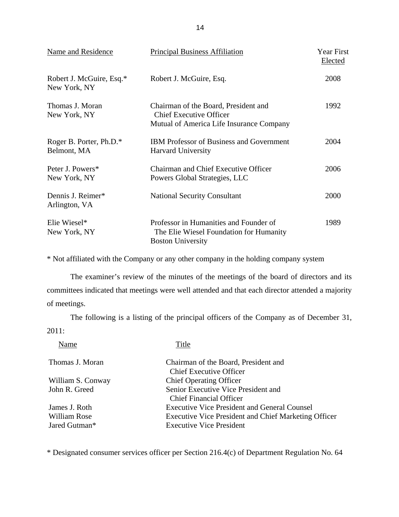| Name and Residence                       | <b>Principal Business Affiliation</b>                                                                              | Year First<br>Elected |
|------------------------------------------|--------------------------------------------------------------------------------------------------------------------|-----------------------|
| Robert J. McGuire, Esq.*<br>New York, NY | Robert J. McGuire, Esq.                                                                                            | 2008                  |
| Thomas J. Moran<br>New York, NY          | Chairman of the Board, President and<br><b>Chief Executive Officer</b><br>Mutual of America Life Insurance Company | 1992                  |
| Roger B. Porter, Ph.D.*<br>Belmont, MA   | <b>IBM Professor of Business and Government</b><br><b>Harvard University</b>                                       | 2004                  |
| Peter J. Powers*<br>New York, NY         | <b>Chairman and Chief Executive Officer</b><br>Powers Global Strategies, LLC                                       | 2006                  |
| Dennis J. Reimer*<br>Arlington, VA       | <b>National Security Consultant</b>                                                                                | 2000                  |
| Elie Wiesel*<br>New York, NY             | Professor in Humanities and Founder of<br>The Elie Wiesel Foundation for Humanity<br><b>Boston University</b>      | 1989                  |

\* Not affiliated with the Company or any other company in the holding company system

The examiner's review of the minutes of the meetings of the board of directors and its committees indicated that meetings were well attended and that each director attended a majority of meetings.

The following is a listing of the principal officers of the Company as of December 31, 2011:

| Title                                                       |
|-------------------------------------------------------------|
| Chairman of the Board, President and                        |
| <b>Chief Executive Officer</b>                              |
| <b>Chief Operating Officer</b>                              |
| Senior Executive Vice President and                         |
| <b>Chief Financial Officer</b>                              |
| <b>Executive Vice President and General Counsel</b>         |
| <b>Executive Vice President and Chief Marketing Officer</b> |
| <b>Executive Vice President</b>                             |
|                                                             |

\* Designated consumer services officer per Section 216.4(c) of Department Regulation No. 64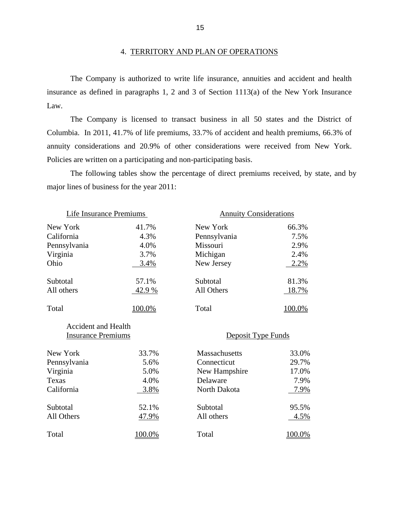#### 4. TERRITORY AND PLAN OF OPERATIONS

The Company is authorized to write life insurance, annuities and accident and health insurance as defined in paragraphs 1, 2 and 3 of Section 1113(a) of the New York Insurance Law.

Policies are written on a participating and non-participating basis. The Company is licensed to transact business in all 50 states and the District of Columbia. In 2011, 41.7% of life premiums, 33.7% of accident and health premiums, 66.3% of annuity considerations and 20.9% of other considerations were received from New York.

The following tables show the percentage of direct premiums received, by state, and by major lines of business for the year 2011:

| Life Insurance Premiums    |        | <b>Annuity Considerations</b> |               |  |
|----------------------------|--------|-------------------------------|---------------|--|
| New York                   | 41.7%  | New York                      | 66.3%         |  |
| California                 | 4.3%   | Pennsylvania                  | 7.5%          |  |
| Pennsylvania               | 4.0%   | Missouri                      | 2.9%          |  |
| Virginia                   | 3.7%   | Michigan                      | 2.4%          |  |
| Ohio                       | 3.4%   | New Jersey                    | 2.2%          |  |
| Subtotal                   | 57.1%  | Subtotal                      | 81.3%         |  |
| All others                 | 42.9 % | All Others                    | <u>18.7%</u>  |  |
| Total                      | 100.0% | Total                         | 100.0%        |  |
| <b>Accident and Health</b> |        |                               |               |  |
| <b>Insurance Premiums</b>  |        | Deposit Type Funds            |               |  |
| New York                   | 33.7%  | <b>Massachusetts</b>          | 33.0%         |  |
| Pennsylvania               | 5.6%   | Connecticut                   | 29.7%         |  |
| Virginia                   | 5.0%   | New Hampshire                 | 17.0%         |  |
| Texas                      | 4.0%   | Delaware                      | 7.9%          |  |
| California                 | 3.8%   | North Dakota                  | 7.9%          |  |
| Subtotal                   | 52.1%  | Subtotal                      | 95.5%         |  |
| All Others                 | 47.9%  | All others                    | 4.5%          |  |
| Total                      | 100.0% | Total                         | <u>100.0%</u> |  |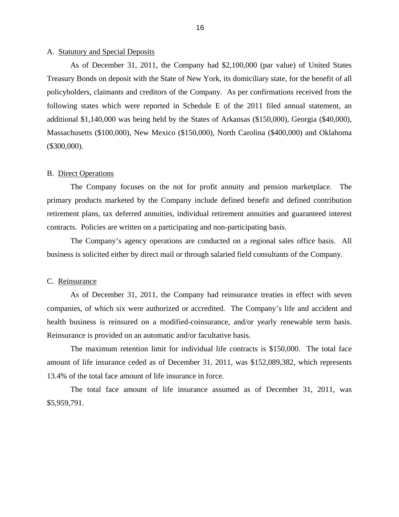#### <span id="page-18-0"></span>A. Statutory and Special Deposits

As of December 31, 2011, the Company had \$2,100,000 (par value) of United States Treasury Bonds on deposit with the State of New York, its domiciliary state, for the benefit of all policyholders, claimants and creditors of the Company. As per confirmations received from the following states which were reported in Schedule E of the 2011 filed annual statement, an additional \$1,140,000 was being held by the States of Arkansas (\$150,000), Georgia (\$40,000), Massachusetts (\$100,000), New Mexico (\$150,000), North Carolina (\$400,000) and Oklahoma (\$300,000).

#### B. Direct Operations

The Company focuses on the not for profit annuity and pension marketplace. The primary products marketed by the Company include defined benefit and defined contribution retirement plans, tax deferred annuities, individual retirement annuities and guaranteed interest contracts. Policies are written on a participating and non-participating basis.

The Company's agency operations are conducted on a regional sales office basis. All business is solicited either by direct mail or through salaried field consultants of the Company.

#### C. Reinsurance

As of December 31, 2011, the Company had reinsurance treaties in effect with seven companies, of which six were authorized or accredited. The Company's life and accident and health business is reinsured on a modified-coinsurance, and/or yearly renewable term basis. Reinsurance is provided on an automatic and/or facultative basis.

The maximum retention limit for individual life contracts is \$150,000. The total face amount of life insurance ceded as of December 31, 2011, was \$152,089,382, which represents 13.4% of the total face amount of life insurance in force.

The total face amount of life insurance assumed as of December 31, 2011, was \$5,959,791.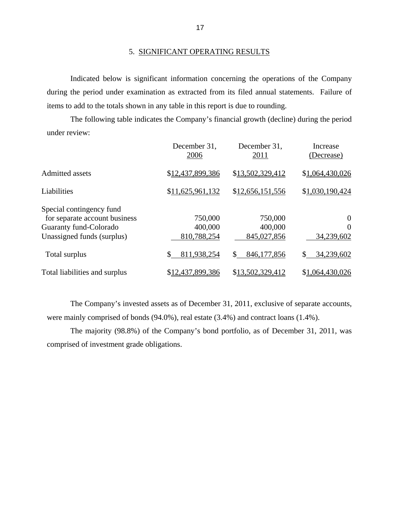#### 5. SIGNIFICANT OPERATING RESULTS

Indicated below is significant information concerning the operations of the Company during the period under examination as extracted from its filed annual statements. Failure of items to add to the totals shown in any table in this report is due to rounding.

The following table indicates the Company's financial growth (decline) during the period under review:

|                                                                                                                   | December 31,<br>2006              | December 31,<br>2011              | Increase<br>(Decrease)                         |
|-------------------------------------------------------------------------------------------------------------------|-----------------------------------|-----------------------------------|------------------------------------------------|
| <b>Admitted assets</b>                                                                                            | \$12,437,899,386                  | \$13,502,329,412                  | \$1,064,430,026                                |
| Liabilities                                                                                                       | \$11,625,961,132                  | \$12,656,151,556                  | \$1,030,190,424                                |
| Special contingency fund<br>for separate account business<br>Guaranty fund-Colorado<br>Unassigned funds (surplus) | 750,000<br>400,000<br>810,788,254 | 750,000<br>400,000<br>845,027,856 | $\overline{0}$<br>$\overline{0}$<br>34,239,602 |
| Total surplus                                                                                                     | 811,938,254<br>\$                 | 846,177,856<br>\$                 | 34,239,602<br>S                                |
| Total liabilities and surplus                                                                                     | \$12,437,899,386                  | \$13,502,329,412                  | \$1,064,430,026                                |

The Company's invested assets as of December 31, 2011, exclusive of separate accounts, were mainly comprised of bonds (94.0%), real estate (3.4%) and contract loans (1.4%).

The majority (98.8%) of the Company's bond portfolio, as of December 31, 2011, was comprised of investment grade obligations.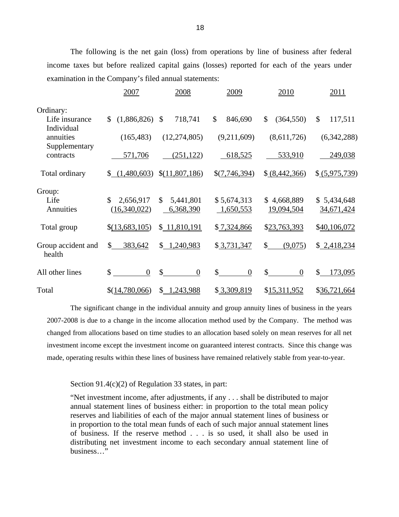The following is the net gain (loss) from operations by line of business after federal income taxes but before realized capital gains (losses) reported for each of the years under examination in the Company's filed annual statements:

|                              | 2007                                      | 2008                                   | 2009                     | 2010                      | 2011                      |
|------------------------------|-------------------------------------------|----------------------------------------|--------------------------|---------------------------|---------------------------|
| Ordinary:                    |                                           |                                        |                          |                           |                           |
| Life insurance<br>Individual | (1,886,826)<br>$\mathbb{S}$               | 718,741<br>\$                          | \$<br>846,690            | \$<br>(364, 550)          | \$<br>117,511             |
| annuities                    | (165, 483)                                | (12, 274, 805)                         | (9,211,609)              | (8,611,726)               | (6,342,288)               |
| Supplementary<br>contracts   | 571,706                                   | (251, 122)                             | 618,525                  | 533,910                   | 249,038                   |
| Total ordinary               | \$(1,480,603)                             | \$(11,807,186)                         | \$(7,746,394)            | \$(8,442,366)             | \$ (5,975,739)            |
| Group:                       |                                           |                                        |                          |                           |                           |
| Life<br>Annuities            | 2,656,917<br>$\mathbb{S}$<br>(16,340,022) | $\mathbb{S}$<br>5,441,801<br>6,368,390 | \$5,674,313<br>1,650,553 | \$4,668,889<br>19,094,504 | \$5,434,648<br>34,671,424 |
| Total group                  | \$(13,683,105)                            | \$11,810,191                           | \$7,324,866              | \$23,763,393              | \$40,106,072              |
| Group accident and<br>health | \$<br>383,642                             | \$1,240,983                            | \$3,731,347              | \$<br>(9,075)             | \$2,418,234               |
| All other lines              | \$<br>$\mathbf{0}$                        | $\mathcal{S}$<br>$\overline{0}$        | \$<br>$\theta$           | \$<br>$\theta$            | \$<br>173,095             |
| Total                        | \$(14,780,066)                            | 1,243,988<br>\$                        | \$3,309,819              | \$15,311,952              | \$36,721,664              |

The significant change in the individual annuity and group annuity lines of business in the years 2007-2008 is due to a change in the income allocation method used by the Company. The method was changed from allocations based on time studies to an allocation based solely on mean reserves for all net investment income except the investment income on guaranteed interest contracts. Since this change was made, operating results within these lines of business have remained relatively stable from year-to-year.

#### Section 91.4(c)(2) of Regulation 33 states, in part:

"Net investment income, after adjustments, if any . . . shall be distributed to major annual statement lines of business either: in proportion to the total mean policy reserves and liabilities of each of the major annual statement lines of business or in proportion to the total mean funds of each of such major annual statement lines of business. If the reserve method . . . is so used, it shall also be used in distributing net investment income to each secondary annual statement line of business…"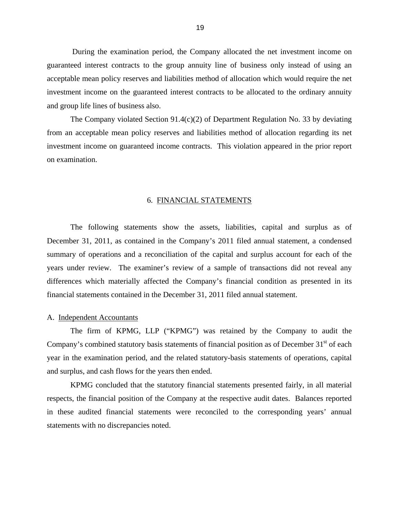<span id="page-21-0"></span>During the examination period, the Company allocated the net investment income on guaranteed interest contracts to the group annuity line of business only instead of using an acceptable mean policy reserves and liabilities method of allocation which would require the net investment income on the guaranteed interest contracts to be allocated to the ordinary annuity and group life lines of business also.

The Company violated Section 91.4(c)(2) of Department Regulation No. 33 by deviating from an acceptable mean policy reserves and liabilities method of allocation regarding its net investment income on guaranteed income contracts. This violation appeared in the prior report on examination.

#### 6. FINANCIAL STATEMENTS

The following statements show the assets, liabilities, capital and surplus as of December 31, 2011, as contained in the Company's 2011 filed annual statement, a condensed summary of operations and a reconciliation of the capital and surplus account for each of the years under review. The examiner's review of a sample of transactions did not reveal any differences which materially affected the Company's financial condition as presented in its financial statements contained in the December 31, 2011 filed annual statement.

#### A. Independent Accountants

The firm of KPMG, LLP ("KPMG") was retained by the Company to audit the Company's combined statutory basis statements of financial position as of December  $31<sup>st</sup>$  of each year in the examination period, and the related statutory-basis statements of operations, capital and surplus, and cash flows for the years then ended.

KPMG concluded that the statutory financial statements presented fairly, in all material respects, the financial position of the Company at the respective audit dates. Balances reported in these audited financial statements were reconciled to the corresponding years' annual statements with no discrepancies noted.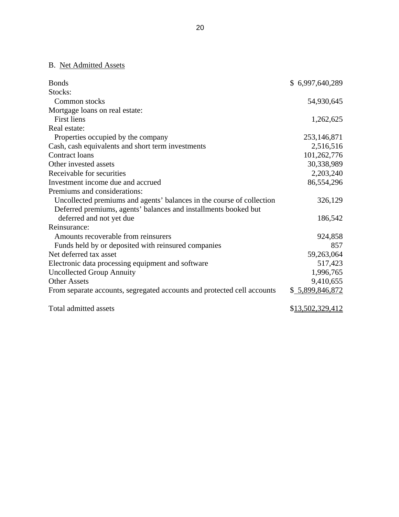### B. Net Admitted Assets

| <b>Bonds</b>                                                            | \$6,997,640,289  |
|-------------------------------------------------------------------------|------------------|
| Stocks:                                                                 |                  |
| Common stocks                                                           | 54,930,645       |
| Mortgage loans on real estate:                                          |                  |
| <b>First liens</b>                                                      | 1,262,625        |
| Real estate:                                                            |                  |
| Properties occupied by the company                                      | 253,146,871      |
| Cash, cash equivalents and short term investments                       | 2,516,516        |
| Contract loans                                                          | 101,262,776      |
| Other invested assets                                                   | 30,338,989       |
| Receivable for securities                                               | 2,203,240        |
| Investment income due and accrued                                       | 86,554,296       |
| Premiums and considerations:                                            |                  |
| Uncollected premiums and agents' balances in the course of collection   | 326,129          |
| Deferred premiums, agents' balances and installments booked but         |                  |
| deferred and not yet due                                                | 186,542          |
| Reinsurance:                                                            |                  |
| Amounts recoverable from reinsurers                                     | 924,858          |
| Funds held by or deposited with reinsured companies                     | 857              |
| Net deferred tax asset                                                  | 59,263,064       |
| Electronic data processing equipment and software                       | 517,423          |
| <b>Uncollected Group Annuity</b>                                        | 1,996,765        |
| <b>Other Assets</b>                                                     | 9,410,655        |
| From separate accounts, segregated accounts and protected cell accounts | \$5,899,846,872  |
| Total admitted assets                                                   | \$13,502,329,412 |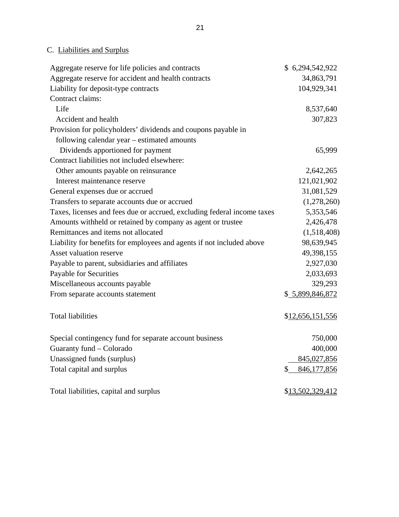## C. Liabilities and Surplus

| Aggregate reserve for life policies and contracts                       | \$6,294,542,922   |
|-------------------------------------------------------------------------|-------------------|
| Aggregate reserve for accident and health contracts                     | 34,863,791        |
| Liability for deposit-type contracts                                    | 104,929,341       |
| Contract claims:                                                        |                   |
| Life                                                                    | 8,537,640         |
| Accident and health                                                     | 307,823           |
| Provision for policyholders' dividends and coupons payable in           |                   |
| following calendar year – estimated amounts                             |                   |
| Dividends apportioned for payment                                       | 65,999            |
| Contract liabilities not included elsewhere:                            |                   |
| Other amounts payable on reinsurance                                    | 2,642,265         |
| Interest maintenance reserve                                            | 121,021,902       |
| General expenses due or accrued                                         | 31,081,529        |
| Transfers to separate accounts due or accrued                           | (1,278,260)       |
| Taxes, licenses and fees due or accrued, excluding federal income taxes | 5,353,546         |
| Amounts withheld or retained by company as agent or trustee             | 2,426,478         |
| Remittances and items not allocated                                     | (1,518,408)       |
| Liability for benefits for employees and agents if not included above   | 98,639,945        |
| Asset valuation reserve                                                 | 49,398,155        |
| Payable to parent, subsidiaries and affiliates                          | 2,927,030         |
| <b>Payable for Securities</b>                                           | 2,033,693         |
| Miscellaneous accounts payable                                          | 329,293           |
| From separate accounts statement                                        | \$5,899,846,872   |
| <b>Total liabilities</b>                                                | \$12,656,151,556  |
| Special contingency fund for separate account business                  | 750,000           |
| Guaranty fund - Colorado                                                | 400,000           |
| Unassigned funds (surplus)                                              | 845,027,856       |
| Total capital and surplus                                               | 846,177,856<br>\$ |
| Total liabilities, capital and surplus                                  | \$13,502,329,412  |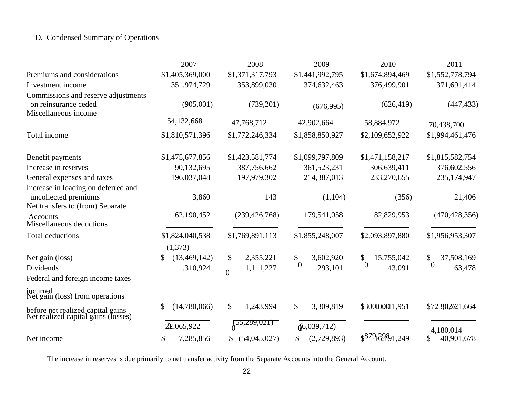## D. Condensed Summary of Operations

|                                                                                                 | 2007                             | 2008                                                | 2009                                   | 2010                                      | 2011                                   |
|-------------------------------------------------------------------------------------------------|----------------------------------|-----------------------------------------------------|----------------------------------------|-------------------------------------------|----------------------------------------|
| Premiums and considerations                                                                     | \$1,405,369,000                  | \$1,371,317,793                                     | \$1,441,992,795                        | \$1,674,894,469                           | \$1,552,778,794                        |
| Investment income                                                                               | 351,974,729                      | 353,899,030                                         | 374,632,463                            | 376,499,901                               | 371,691,414                            |
| Commissions and reserve adjustments<br>on reinsurance ceded<br>Miscellaneous income             | (905,001)                        | (739,201)                                           | (676,995)                              | (626, 419)                                | (447, 433)                             |
|                                                                                                 | 54,132,668                       | 47,768,712                                          | 42,902,664                             | 58,884,972                                | 70,438,700                             |
| Total income                                                                                    | \$1,810,571,396                  | \$1,772,246,334                                     | \$1,858,850,927                        | \$2,109,652,922                           | \$1,994,461,476                        |
| Benefit payments                                                                                | \$1,475,677,856                  | \$1,423,581,774                                     | \$1,099,797,809                        | \$1,471,158,217                           | \$1,815,582,754                        |
| Increase in reserves                                                                            | 90,132,695                       | 387,756,662                                         | 361,523,231                            | 306,639,411                               | 376,602,556                            |
| General expenses and taxes                                                                      | 196,037,048                      | 197,979,302                                         | 214,387,013                            | 233,270,655                               | 235,174,947                            |
| Increase in loading on deferred and<br>uncollected premiums<br>Net transfers to (from) Separate | 3,860                            | 143                                                 | (1,104)                                | (356)                                     | 21,406                                 |
| <b>Accounts</b><br>Miscellaneous deductions                                                     | 62,190,452                       | (239, 426, 768)                                     | 179,541,058                            | 82,829,953                                | (470, 428, 356)                        |
| <b>Total deductions</b>                                                                         | \$1,824,040,538<br>(1,373)       | \$1,769,891,113                                     | \$1,855,248,007                        | \$2,093,897,880                           | \$1,956,953,307                        |
| Net gain (loss)<br>Dividends<br>Federal and foreign income taxes                                | (13, 469, 142)<br>1,310,924      | $\mathcal{S}$<br>2,355,221<br>1,111,227<br>$\theta$ | \$<br>3,602,920<br>$\theta$<br>293,101 | \$<br>15,755,042<br>$\theta$<br>143,091   | \$<br>37,508,169<br>$\theta$<br>63,478 |
| incurred<br>Net gain (loss) from operations                                                     |                                  |                                                     |                                        |                                           |                                        |
| before net realized capital gains<br>Net realized capital gains (losses)                        | \$<br>(14,780,066)<br>22,065,922 | \$<br>1,243,994<br>(55,289,021)                     | \$<br>3,309,819<br>(6,039,712)         | \$300,00001,951                           | \$72369721,664                         |
| Net income                                                                                      | 7,285,856                        | \$ (54,045,027)                                     | (2,729,893)                            | \$ <sup>879</sup> }?} <sup>8</sup> 91,249 | 4,180,014<br>\$.<br>40,901,678         |

The increase in reserves is due primarily to net transfer activity from the Separate Accounts into the General Account.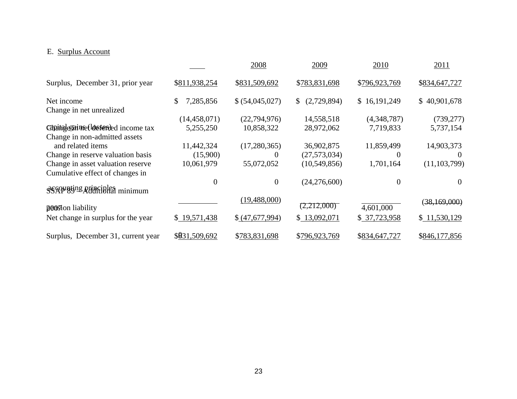## E. Surplus Account

|                                     |                 | 2008            | 2009                        | 2010          | 2011           |
|-------------------------------------|-----------------|-----------------|-----------------------------|---------------|----------------|
| Surplus, December 31, prior year    | \$811,938,254   | \$831,509,692   | \$783,831,698               | \$796,923,769 | \$834,647,727  |
| Net income                          | 7,285,856<br>\$ | \$ (54,045,027) | (2,729,894)<br>$\mathbb{S}$ | \$16,191,249  | \$40,901,678   |
| Change in net unrealized            |                 |                 |                             |               |                |
|                                     | (14, 458, 071)  | (22, 794, 976)  | 14,558,518                  | (4,348,787)   | (739, 277)     |
| Capatalegaine (losseried income tax | 5,255,250       | 10,858,322      | 28,972,062                  | 7,719,833     | 5,737,154      |
| Change in non-admitted assets       |                 |                 |                             |               |                |
| and related items                   | 11,442,324      | (17,280,365)    | 36,902,875                  | 11,859,499    | 14,903,373     |
| Change in reserve valuation basis   | (15,900)        | $\theta$        | (27, 573, 034)              | $\theta$      | $\theta$       |
| Change in asset valuation reserve   | 10,061,979      | 55,072,052      | (10, 549, 856)              | 1,701,164     | (11, 103, 799) |
| Cumulative effect of changes in     |                 |                 |                             |               |                |
|                                     | 0               | $\overline{0}$  | (24,276,600)                | $\Omega$      | $\Omega$       |
| ses applying principles minimum     |                 |                 |                             |               |                |
|                                     |                 | (19, 488, 000)  |                             |               | (38,169,000)   |
| poostion liability                  |                 |                 | (2,212,000)                 | 4,601,000     |                |
| Net change in surplus for the year  | \$19,571,438    | \$ (47,677,994) | \$13,092,071                | \$37,723,958  | \$11,530,129   |
| Surplus, December 31, current year  | \$031,509,692   | \$783,831,698   | \$796,923,769               | \$834,647,727 | \$846,177,856  |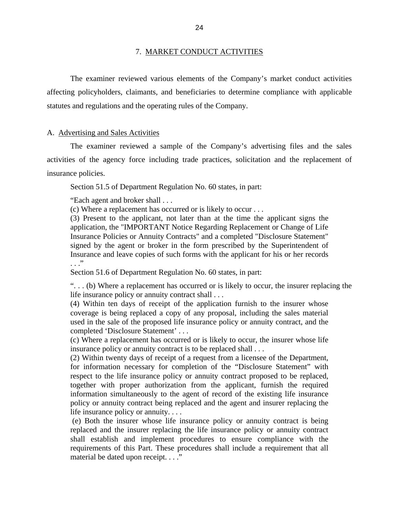#### 7. MARKET CONDUCT ACTIVITIES

<span id="page-26-0"></span>The examiner reviewed various elements of the Company's market conduct activities affecting policyholders, claimants, and beneficiaries to determine compliance with applicable statutes and regulations and the operating rules of the Company.

#### A. Advertising and Sales Activities

The examiner reviewed a sample of the Company's advertising files and the sales activities of the agency force including trade practices, solicitation and the replacement of insurance policies.

Section 51.5 of Department Regulation No. 60 states, in part:

"Each agent and broker shall . . .

(c) Where a replacement has occurred or is likely to occur . . .

(3) Present to the applicant, not later than at the time the applicant signs the application, the "IMPORTANT Notice Regarding Replacement or Change of Life Insurance Policies or Annuity Contracts" and a completed "Disclosure Statement" signed by the agent or broker in the form prescribed by the Superintendent of Insurance and leave copies of such forms with the applicant for his or her records . . ."

Section 51.6 of Department Regulation No. 60 states, in part:

". . . (b) Where a replacement has occurred or is likely to occur, the insurer replacing the life insurance policy or annuity contract shall . . .

(4) Within ten days of receipt of the application furnish to the insurer whose coverage is being replaced a copy of any proposal, including the sales material used in the sale of the proposed life insurance policy or annuity contract, and the completed 'Disclosure Statement' . . .

(c) Where a replacement has occurred or is likely to occur, the insurer whose life insurance policy or annuity contract is to be replaced shall . . .

(2) Within twenty days of receipt of a request from a licensee of the Department, for information necessary for completion of the "Disclosure Statement" with respect to the life insurance policy or annuity contract proposed to be replaced, together with proper authorization from the applicant, furnish the required information simultaneously to the agent of record of the existing life insurance policy or annuity contract being replaced and the agent and insurer replacing the life insurance policy or annuity. . . .

(e) Both the insurer whose life insurance policy or annuity contract is being replaced and the insurer replacing the life insurance policy or annuity contract shall establish and implement procedures to ensure compliance with the requirements of this Part. These procedures shall include a requirement that all material be dated upon receipt. . . ."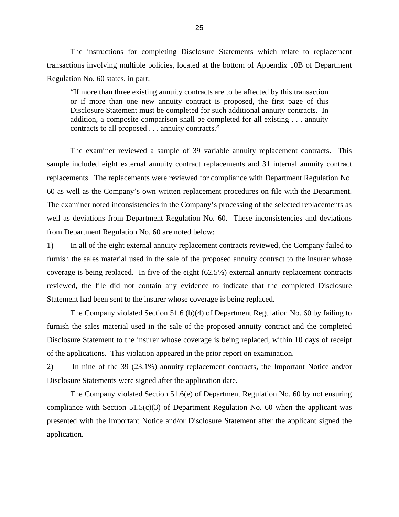The instructions for completing Disclosure Statements which relate to replacement transactions involving multiple policies, located at the bottom of Appendix 10B of Department Regulation No. 60 states, in part:

"If more than three existing annuity contracts are to be affected by this transaction or if more than one new annuity contract is proposed, the first page of this Disclosure Statement must be completed for such additional annuity contracts. In addition, a composite comparison shall be completed for all existing . . . annuity contracts to all proposed . . . annuity contracts."

The examiner reviewed a sample of 39 variable annuity replacement contracts. This sample included eight external annuity contract replacements and 31 internal annuity contract replacements. The replacements were reviewed for compliance with Department Regulation No. 60 as well as the Company's own written replacement procedures on file with the Department. The examiner noted inconsistencies in the Company's processing of the selected replacements as well as deviations from Department Regulation No. 60. These inconsistencies and deviations from Department Regulation No. 60 are noted below:

1) In all of the eight external annuity replacement contracts reviewed, the Company failed to furnish the sales material used in the sale of the proposed annuity contract to the insurer whose coverage is being replaced. In five of the eight (62.5%) external annuity replacement contracts reviewed, the file did not contain any evidence to indicate that the completed Disclosure Statement had been sent to the insurer whose coverage is being replaced.

The Company violated Section 51.6 (b)(4) of Department Regulation No. 60 by failing to furnish the sales material used in the sale of the proposed annuity contract and the completed Disclosure Statement to the insurer whose coverage is being replaced, within 10 days of receipt of the applications. This violation appeared in the prior report on examination.

2) In nine of the 39 (23.1%) annuity replacement contracts, the Important Notice and/or Disclosure Statements were signed after the application date.

The Company violated Section 51.6(e) of Department Regulation No. 60 by not ensuring compliance with Section  $51.5(c)(3)$  of Department Regulation No. 60 when the applicant was presented with the Important Notice and/or Disclosure Statement after the applicant signed the application.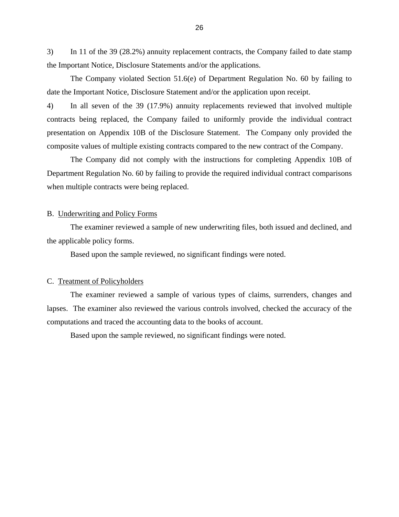<span id="page-28-0"></span>3) In 11 of the 39 (28.2%) annuity replacement contracts, the Company failed to date stamp the Important Notice, Disclosure Statements and/or the applications.

The Company violated Section 51.6(e) of Department Regulation No. 60 by failing to date the Important Notice, Disclosure Statement and/or the application upon receipt.

4) In all seven of the 39 (17.9%) annuity replacements reviewed that involved multiple contracts being replaced, the Company failed to uniformly provide the individual contract presentation on Appendix 10B of the Disclosure Statement. The Company only provided the composite values of multiple existing contracts compared to the new contract of the Company.

The Company did not comply with the instructions for completing Appendix 10B of Department Regulation No. 60 by failing to provide the required individual contract comparisons when multiple contracts were being replaced.

#### B. Underwriting and Policy Forms

The examiner reviewed a sample of new underwriting files, both issued and declined, and the applicable policy forms.

Based upon the sample reviewed, no significant findings were noted.

#### C. Treatment of Policyholders

The examiner reviewed a sample of various types of claims, surrenders, changes and lapses. The examiner also reviewed the various controls involved, checked the accuracy of the computations and traced the accounting data to the books of account.

Based upon the sample reviewed, no significant findings were noted.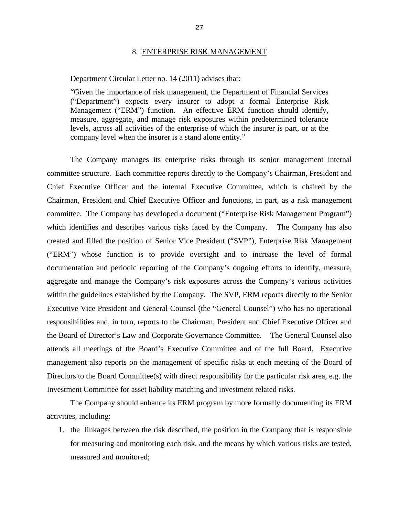#### 8. ENTERPRISE RISK MANAGEMENT

#### <span id="page-29-0"></span>Department Circular Letter no. 14 (2011) advises that:

"Given the importance of risk management, the Department of Financial Services ("Department") expects every insurer to adopt a formal Enterprise Risk Management ("ERM") function. An effective ERM function should identify, measure, aggregate, and manage risk exposures within predetermined tolerance levels, across all activities of the enterprise of which the insurer is part, or at the company level when the insurer is a stand alone entity."

The Company manages its enterprise risks through its senior management internal committee structure. Each committee reports directly to the Company's Chairman, President and Chief Executive Officer and the internal Executive Committee, which is chaired by the Chairman, President and Chief Executive Officer and functions, in part, as a risk management committee. The Company has developed a document ("Enterprise Risk Management Program") which identifies and describes various risks faced by the Company. The Company has also created and filled the position of Senior Vice President ("SVP"), Enterprise Risk Management ("ERM") whose function is to provide oversight and to increase the level of formal documentation and periodic reporting of the Company's ongoing efforts to identify, measure, aggregate and manage the Company's risk exposures across the Company's various activities within the guidelines established by the Company. The SVP, ERM reports directly to the Senior Executive Vice President and General Counsel (the "General Counsel") who has no operational responsibilities and, in turn, reports to the Chairman, President and Chief Executive Officer and the Board of Director's Law and Corporate Governance Committee. The General Counsel also attends all meetings of the Board's Executive Committee and of the full Board. Executive management also reports on the management of specific risks at each meeting of the Board of Directors to the Board Committee(s) with direct responsibility for the particular risk area, e.g. the Investment Committee for asset liability matching and investment related risks.

The Company should enhance its ERM program by more formally documenting its ERM activities, including:

1. the linkages between the risk described, the position in the Company that is responsible for measuring and monitoring each risk, and the means by which various risks are tested, measured and monitored;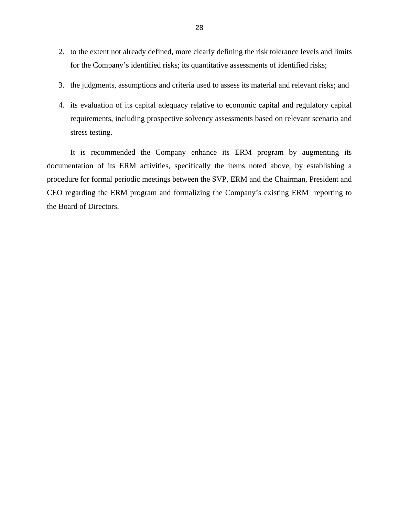- 2. to the extent not already defined, more clearly defining the risk tolerance levels and limits for the Company's identified risks; its quantitative assessments of identified risks;
- 3. the judgments, assumptions and criteria used to assess its material and relevant risks; and
- 4. its evaluation of its capital adequacy relative to economic capital and regulatory capital requirements, including prospective solvency assessments based on relevant scenario and stress testing.

It is recommended the Company enhance its ERM program by augmenting its documentation of its ERM activities, specifically the items noted above, by establishing a procedure for formal periodic meetings between the SVP, ERM and the Chairman, President and CEO regarding the ERM program and formalizing the Company's existing ERM reporting to the Board of Directors.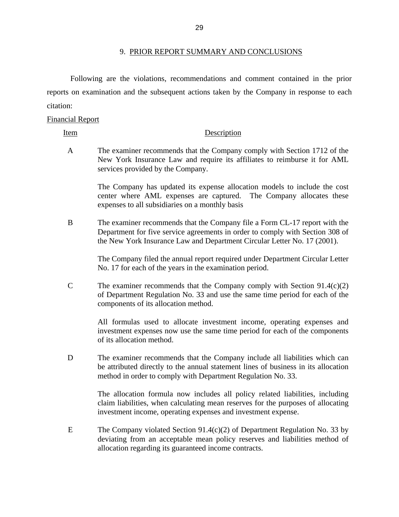citation: Following are the violations, recommendations and comment contained in the prior reports on examination and the subsequent actions taken by the Company in response to each

#### Financial Report

#### Item Description

A The examiner recommends that the Company comply with Section 1712 of the New York Insurance Law and require its affiliates to reimburse it for AML services provided by the Company.

> The Company has updated its expense allocation models to include the cost center where AML expenses are captured. The Company allocates these expenses to all subsidiaries on a monthly basis

B The examiner recommends that the Company file a Form CL-17 report with the Department for five service agreements in order to comply with Section 308 of the New York Insurance Law and Department Circular Letter No. 17 (2001).

> The Company filed the annual report required under Department Circular Letter No. 17 for each of the years in the examination period.

C The examiner recommends that the Company comply with Section 91.4(c)(2) of Department Regulation No. 33 and use the same time period for each of the components of its allocation method.

> All formulas used to allocate investment income, operating expenses and investment expenses now use the same time period for each of the components of its allocation method.

D The examiner recommends that the Company include all liabilities which can be attributed directly to the annual statement lines of business in its allocation method in order to comply with Department Regulation No. 33.

> The allocation formula now includes all policy related liabilities, including claim liabilities, when calculating mean reserves for the purposes of allocating investment income, operating expenses and investment expense.

E The Company violated Section 91.4(c)(2) of Department Regulation No. 33 by deviating from an acceptable mean policy reserves and liabilities method of allocation regarding its guaranteed income contracts.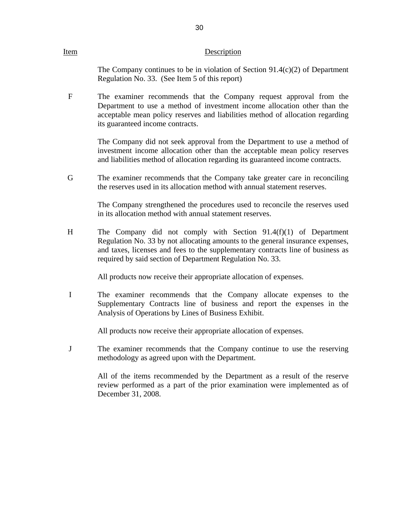#### Item Description

The Company continues to be in violation of Section  $91.4(c)(2)$  of Department Regulation No. 33. (See Item 5 of this report)

F The examiner recommends that the Company request approval from the Department to use a method of investment income allocation other than the acceptable mean policy reserves and liabilities method of allocation regarding its guaranteed income contracts.

> The Company did not seek approval from the Department to use a method of investment income allocation other than the acceptable mean policy reserves and liabilities method of allocation regarding its guaranteed income contracts.

G The examiner recommends that the Company take greater care in reconciling the reserves used in its allocation method with annual statement reserves.

> The Company strengthened the procedures used to reconcile the reserves used in its allocation method with annual statement reserves.

H The Company did not comply with Section 91.4(f)(1) of Department Regulation No. 33 by not allocating amounts to the general insurance expenses, and taxes, licenses and fees to the supplementary contracts line of business as required by said section of Department Regulation No. 33.

All products now receive their appropriate allocation of expenses.

I The examiner recommends that the Company allocate expenses to the Supplementary Contracts line of business and report the expenses in the Analysis of Operations by Lines of Business Exhibit.

All products now receive their appropriate allocation of expenses.

J The examiner recommends that the Company continue to use the reserving methodology as agreed upon with the Department.

> All of the items recommended by the Department as a result of the reserve review performed as a part of the prior examination were implemented as of December 31, 2008.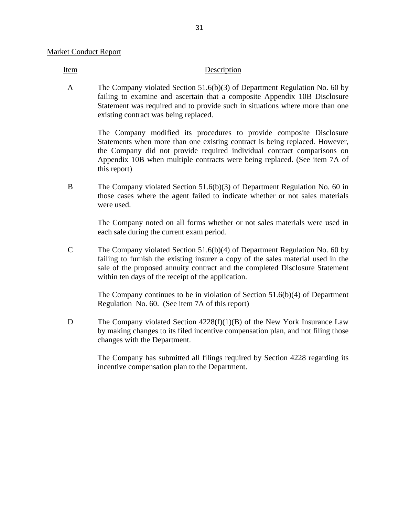Item Description

A The Company violated Section 51.6(b)(3) of Department Regulation No. 60 by failing to examine and ascertain that a composite Appendix 10B Disclosure Statement was required and to provide such in situations where more than one existing contract was being replaced.

> The Company modified its procedures to provide composite Disclosure Statements when more than one existing contract is being replaced. However, the Company did not provide required individual contract comparisons on Appendix 10B when multiple contracts were being replaced. (See item 7A of this report)

B The Company violated Section 51.6(b)(3) of Department Regulation No. 60 in those cases where the agent failed to indicate whether or not sales materials were used.

> The Company noted on all forms whether or not sales materials were used in each sale during the current exam period.

C The Company violated Section 51.6(b)(4) of Department Regulation No. 60 by failing to furnish the existing insurer a copy of the sales material used in the sale of the proposed annuity contract and the completed Disclosure Statement within ten days of the receipt of the application.

> The Company continues to be in violation of Section  $51.6(b)(4)$  of Department Regulation No. 60. (See item 7A of this report)

D The Company violated Section 4228(f)(1)(B) of the New York Insurance Law by making changes to its filed incentive compensation plan, and not filing those changes with the Department.

> The Company has submitted all filings required by Section 4228 regarding its incentive compensation plan to the Department.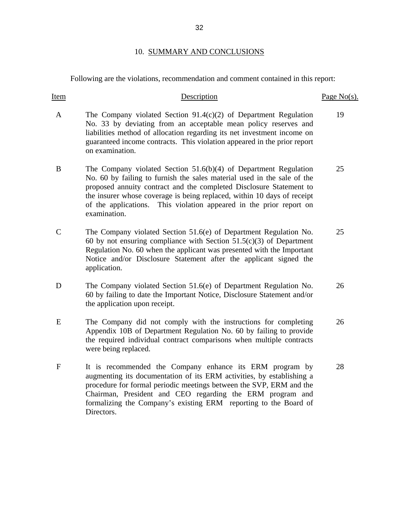## 10. SUMMARY AND CONCLUSIONS

<span id="page-34-0"></span>Following are the violations, recommendation and comment contained in this report:

| Item         | Description                                                                                                                                                                                                                                                                                                                                                                            | Page $No(s)$ . |
|--------------|----------------------------------------------------------------------------------------------------------------------------------------------------------------------------------------------------------------------------------------------------------------------------------------------------------------------------------------------------------------------------------------|----------------|
| $\mathbf{A}$ | The Company violated Section $91.4(c)(2)$ of Department Regulation<br>No. 33 by deviating from an acceptable mean policy reserves and<br>liabilities method of allocation regarding its net investment income on<br>guaranteed income contracts. This violation appeared in the prior report<br>on examination.                                                                        | 19             |
| B            | The Company violated Section $51.6(b)(4)$ of Department Regulation<br>No. 60 by failing to furnish the sales material used in the sale of the<br>proposed annuity contract and the completed Disclosure Statement to<br>the insurer whose coverage is being replaced, within 10 days of receipt<br>of the applications. This violation appeared in the prior report on<br>examination. | 25             |
| $\mathsf{C}$ | The Company violated Section 51.6(e) of Department Regulation No.<br>60 by not ensuring compliance with Section $51.5(c)(3)$ of Department<br>Regulation No. 60 when the applicant was presented with the Important<br>Notice and/or Disclosure Statement after the applicant signed the<br>application.                                                                               | 25             |
| D            | The Company violated Section 51.6(e) of Department Regulation No.<br>60 by failing to date the Important Notice, Disclosure Statement and/or<br>the application upon receipt.                                                                                                                                                                                                          | 26             |
| E            | The Company did not comply with the instructions for completing<br>Appendix 10B of Department Regulation No. 60 by failing to provide<br>the required individual contract comparisons when multiple contracts<br>were being replaced.                                                                                                                                                  | 26             |
| $\mathbf F$  | It is recommended the Company enhance its ERM program by<br>augmenting its documentation of its ERM activities, by establishing a<br>procedure for formal periodic meetings between the SVP, ERM and the<br>Chairman, President and CEO regarding the ERM program and<br>formalizing the Company's existing ERM reporting to the Board of<br>Directors.                                | 28             |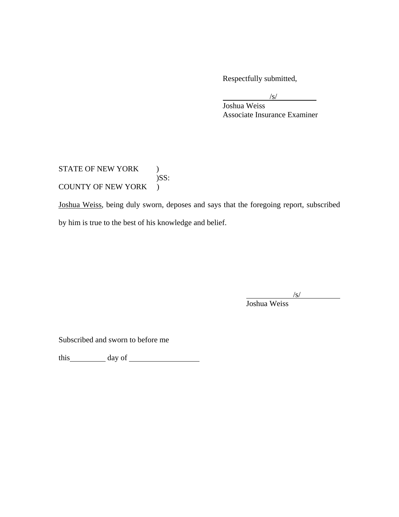Respectfully submitted,

 $\sqrt{s}$ /s/

 Joshua Weiss Associate Insurance Examiner

STATE OF NEW YORK )  $)$ SS: COUNTY OF NEW YORK )

Joshua Weiss, being duly sworn, deposes and says that the foregoing report, subscribed by him is true to the best of his knowledge and belief.

 $\sqrt{s}$ 

 $\overline{\phantom{a}}$ 

I Joshua Weiss

Subscribed and sworn to before me

this day of